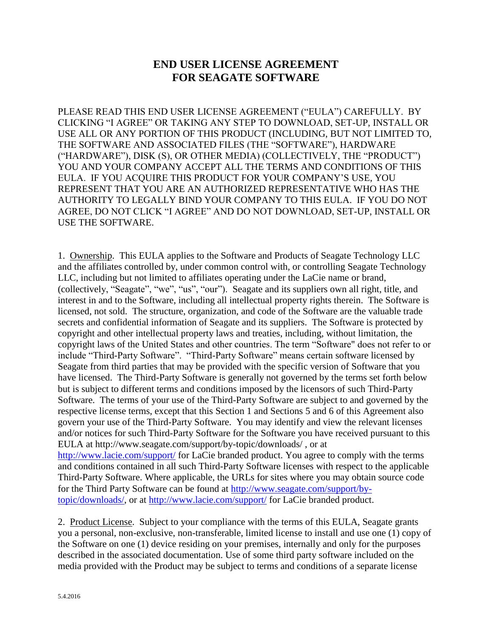## **END USER LICENSE AGREEMENT FOR SEAGATE SOFTWARE**

PLEASE READ THIS END USER LICENSE AGREEMENT ("EULA") CAREFULLY. BY CLICKING "I AGREE" OR TAKING ANY STEP TO DOWNLOAD, SET-UP, INSTALL OR USE ALL OR ANY PORTION OF THIS PRODUCT (INCLUDING, BUT NOT LIMITED TO, THE SOFTWARE AND ASSOCIATED FILES (THE "SOFTWARE"), HARDWARE ("HARDWARE"), DISK (S), OR OTHER MEDIA) (COLLECTIVELY, THE "PRODUCT") YOU AND YOUR COMPANY ACCEPT ALL THE TERMS AND CONDITIONS OF THIS EULA. IF YOU ACQUIRE THIS PRODUCT FOR YOUR COMPANY'S USE, YOU REPRESENT THAT YOU ARE AN AUTHORIZED REPRESENTATIVE WHO HAS THE AUTHORITY TO LEGALLY BIND YOUR COMPANY TO THIS EULA. IF YOU DO NOT AGREE, DO NOT CLICK "I AGREE" AND DO NOT DOWNLOAD, SET-UP, INSTALL OR USE THE SOFTWARE.

1. Ownership. This EULA applies to the Software and Products of Seagate Technology LLC and the affiliates controlled by, under common control with, or controlling Seagate Technology LLC, including but not limited to affiliates operating under the LaCie name or brand, (collectively, "Seagate", "we", "us", "our"). Seagate and its suppliers own all right, title, and interest in and to the Software, including all intellectual property rights therein. The Software is licensed, not sold. The structure, organization, and code of the Software are the valuable trade secrets and confidential information of Seagate and its suppliers. The Software is protected by copyright and other intellectual property laws and treaties, including, without limitation, the copyright laws of the United States and other countries. The term "Software" does not refer to or include "Third-Party Software". "Third-Party Software" means certain software licensed by Seagate from third parties that may be provided with the specific version of Software that you have licensed. The Third-Party Software is generally not governed by the terms set forth below but is subject to different terms and conditions imposed by the licensors of such Third-Party Software. The terms of your use of the Third-Party Software are subject to and governed by the respective license terms, except that this Section 1 and Sections 5 and 6 of this Agreement also govern your use of the Third-Party Software. You may identify and view the relevant licenses and/or notices for such Third-Party Software for the Software you have received pursuant to this EULA at http://www.seagate.com/support/by-topic/downloads/ , or at <http://www.lacie.com/support/> for LaCie branded product. You agree to comply with the terms and conditions contained in all such Third-Party Software licenses with respect to the applicable Third-Party Software. Where applicable, the URLs for sites where you may obtain source code for the Third Party Software can be found at [http://www.seagate.com/support/by](http://www.seagate.com/support/by-topic/downloads/)[topic/downloads/,](http://www.seagate.com/support/by-topic/downloads/) or at<http://www.lacie.com/support/> for LaCie branded product.

2. Product License. Subject to your compliance with the terms of this EULA, Seagate grants you a personal, non-exclusive, non-transferable, limited license to install and use one (1) copy of the Software on one (1) device residing on your premises, internally and only for the purposes described in the associated documentation. Use of some third party software included on the media provided with the Product may be subject to terms and conditions of a separate license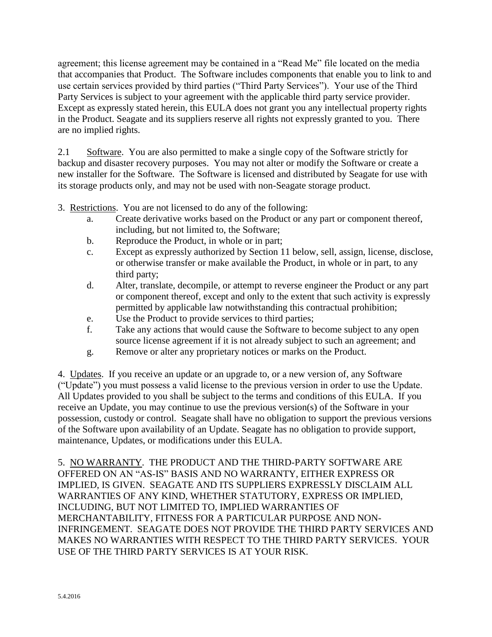agreement; this license agreement may be contained in a "Read Me" file located on the media that accompanies that Product. The Software includes components that enable you to link to and use certain services provided by third parties ("Third Party Services"). Your use of the Third Party Services is subject to your agreement with the applicable third party service provider. Except as expressly stated herein, this EULA does not grant you any intellectual property rights in the Product. Seagate and its suppliers reserve all rights not expressly granted to you. There are no implied rights.

2.1 Software. You are also permitted to make a single copy of the Software strictly for backup and disaster recovery purposes. You may not alter or modify the Software or create a new installer for the Software. The Software is licensed and distributed by Seagate for use with its storage products only, and may not be used with non-Seagate storage product.

- 3. Restrictions. You are not licensed to do any of the following:
	- a. Create derivative works based on the Product or any part or component thereof, including, but not limited to, the Software;
	- b. Reproduce the Product, in whole or in part;
	- c. Except as expressly authorized by Section 11 below, sell, assign, license, disclose, or otherwise transfer or make available the Product, in whole or in part, to any third party;
	- d. Alter, translate, decompile, or attempt to reverse engineer the Product or any part or component thereof, except and only to the extent that such activity is expressly permitted by applicable law notwithstanding this contractual prohibition;
	- e. Use the Product to provide services to third parties;
	- f. Take any actions that would cause the Software to become subject to any open source license agreement if it is not already subject to such an agreement; and
	- g. Remove or alter any proprietary notices or marks on the Product.

4. Updates. If you receive an update or an upgrade to, or a new version of, any Software ("Update") you must possess a valid license to the previous version in order to use the Update. All Updates provided to you shall be subject to the terms and conditions of this EULA. If you receive an Update, you may continue to use the previous version(s) of the Software in your possession, custody or control. Seagate shall have no obligation to support the previous versions of the Software upon availability of an Update. Seagate has no obligation to provide support, maintenance, Updates, or modifications under this EULA.

5. NO WARRANTY. THE PRODUCT AND THE THIRD-PARTY SOFTWARE ARE OFFERED ON AN "AS-IS" BASIS AND NO WARRANTY, EITHER EXPRESS OR IMPLIED, IS GIVEN. SEAGATE AND ITS SUPPLIERS EXPRESSLY DISCLAIM ALL WARRANTIES OF ANY KIND, WHETHER STATUTORY, EXPRESS OR IMPLIED, INCLUDING, BUT NOT LIMITED TO, IMPLIED WARRANTIES OF MERCHANTABILITY, FITNESS FOR A PARTICULAR PURPOSE AND NON-INFRINGEMENT. SEAGATE DOES NOT PROVIDE THE THIRD PARTY SERVICES AND MAKES NO WARRANTIES WITH RESPECT TO THE THIRD PARTY SERVICES. YOUR USE OF THE THIRD PARTY SERVICES IS AT YOUR RISK.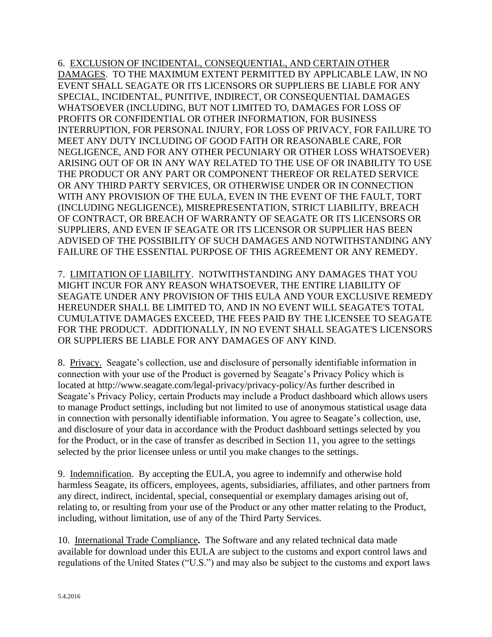6. EXCLUSION OF INCIDENTAL, CONSEQUENTIAL, AND CERTAIN OTHER DAMAGES. TO THE MAXIMUM EXTENT PERMITTED BY APPLICABLE LAW, IN NO EVENT SHALL SEAGATE OR ITS LICENSORS OR SUPPLIERS BE LIABLE FOR ANY SPECIAL, INCIDENTAL, PUNITIVE, INDIRECT, OR CONSEQUENTIAL DAMAGES WHATSOEVER (INCLUDING, BUT NOT LIMITED TO, DAMAGES FOR LOSS OF PROFITS OR CONFIDENTIAL OR OTHER INFORMATION, FOR BUSINESS INTERRUPTION, FOR PERSONAL INJURY, FOR LOSS OF PRIVACY, FOR FAILURE TO MEET ANY DUTY INCLUDING OF GOOD FAITH OR REASONABLE CARE, FOR NEGLIGENCE, AND FOR ANY OTHER PECUNIARY OR OTHER LOSS WHATSOEVER) ARISING OUT OF OR IN ANY WAY RELATED TO THE USE OF OR INABILITY TO USE THE PRODUCT OR ANY PART OR COMPONENT THEREOF OR RELATED SERVICE OR ANY THIRD PARTY SERVICES, OR OTHERWISE UNDER OR IN CONNECTION WITH ANY PROVISION OF THE EULA, EVEN IN THE EVENT OF THE FAULT, TORT (INCLUDING NEGLIGENCE), MISREPRESENTATION, STRICT LIABILITY, BREACH OF CONTRACT, OR BREACH OF WARRANTY OF SEAGATE OR ITS LICENSORS OR SUPPLIERS, AND EVEN IF SEAGATE OR ITS LICENSOR OR SUPPLIER HAS BEEN ADVISED OF THE POSSIBILITY OF SUCH DAMAGES AND NOTWITHSTANDING ANY FAILURE OF THE ESSENTIAL PURPOSE OF THIS AGREEMENT OR ANY REMEDY.

7. LIMITATION OF LIABILITY. NOTWITHSTANDING ANY DAMAGES THAT YOU MIGHT INCUR FOR ANY REASON WHATSOEVER, THE ENTIRE LIABILITY OF SEAGATE UNDER ANY PROVISION OF THIS EULA AND YOUR EXCLUSIVE REMEDY HEREUNDER SHALL BE LIMITED TO, AND IN NO EVENT WILL SEAGATE'S TOTAL CUMULATIVE DAMAGES EXCEED, THE FEES PAID BY THE LICENSEE TO SEAGATE FOR THE PRODUCT. ADDITIONALLY, IN NO EVENT SHALL SEAGATE'S LICENSORS OR SUPPLIERS BE LIABLE FOR ANY DAMAGES OF ANY KIND.

8. Privacy. Seagate's collection, use and disclosure of personally identifiable information in connection with your use of the Product is governed by Seagate's Privacy Policy which is located at http://www.seagate.com/legal-privacy/privacy-policy/As further described in Seagate's Privacy Policy, certain Products may include a Product dashboard which allows users to manage Product settings, including but not limited to use of anonymous statistical usage data in connection with personally identifiable information. You agree to Seagate's collection, use, and disclosure of your data in accordance with the Product dashboard settings selected by you for the Product, or in the case of transfer as described in Section 11, you agree to the settings selected by the prior licensee unless or until you make changes to the settings.

9. Indemnification. By accepting the EULA, you agree to indemnify and otherwise hold harmless Seagate, its officers, employees, agents, subsidiaries, affiliates, and other partners from any direct, indirect, incidental, special, consequential or exemplary damages arising out of, relating to, or resulting from your use of the Product or any other matter relating to the Product, including, without limitation, use of any of the Third Party Services.

10. International Trade Compliance**.** The Software and any related technical data made available for download under this EULA are subject to the customs and export control laws and regulations of the United States ("U.S.") and may also be subject to the customs and export laws